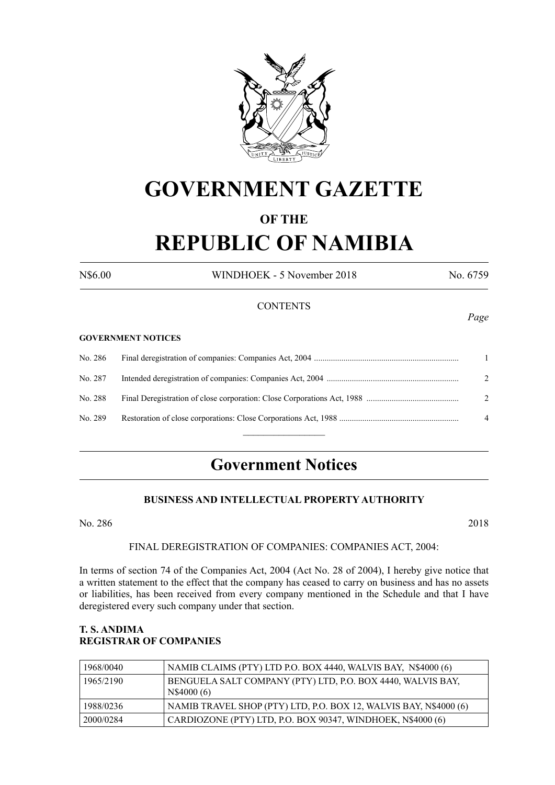

# **GOVERNMENT GAZETTE**

# **OF THE**

# **REPUBLIC OF NAMIBIA**

N\$6.00 WINDHOEK - 5 November 2018 No. 6759

# **CONTENTS**

#### **GOVERNMENT NOTICES**

| No. 287 | $\mathcal{D}$  |
|---------|----------------|
| No. 288 | 2              |
| No. 289 | $\overline{4}$ |
|         |                |

# **Government Notices**

#### **BUSINESS AND INTELLECTUAL PROPERTY AUTHORITY**

No. 286 2018

### FINAL DEREGISTRATION OF COMPANIES: COMPANIES ACT, 2004:

In terms of section 74 of the Companies Act, 2004 (Act No. 28 of 2004), I hereby give notice that a written statement to the effect that the company has ceased to carry on business and has no assets or liabilities, has been received from every company mentioned in the Schedule and that I have deregistered every such company under that section.

# **T. S. ANDIMA REGISTRAR OF COMPANIES**

| 1968/0040 | NAMIB CLAIMS (PTY) LTD P.O. BOX 4440, WALVIS BAY, N\$4000 (6)             |
|-----------|---------------------------------------------------------------------------|
| 1965/2190 | BENGUELA SALT COMPANY (PTY) LTD, P.O. BOX 4440, WALVIS BAY,<br>N\$4000(6) |
| 1988/0236 | NAMIB TRAVEL SHOP (PTY) LTD, P.O. BOX 12, WALVIS BAY, N\$4000 (6)         |
| 2000/0284 | CARDIOZONE (PTY) LTD, P.O. BOX 90347, WINDHOEK, N\$4000 (6)               |

*Page*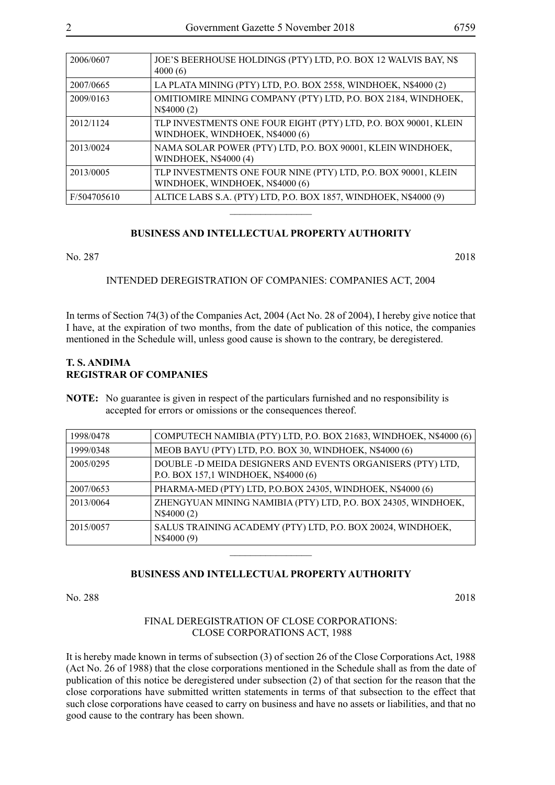| 2006/0607   | JOE'S BEERHOUSE HOLDINGS (PTY) LTD, P.O. BOX 12 WALVIS BAY, N\$<br>4000(6)                         |
|-------------|----------------------------------------------------------------------------------------------------|
| 2007/0665   | LA PLATA MINING (PTY) LTD, P.O. BOX 2558, WINDHOEK, N\$4000 (2)                                    |
| 2009/0163   | OMITIOMIRE MINING COMPANY (PTY) LTD, P.O. BOX 2184, WINDHOEK,<br>N\$4000 (2)                       |
| 2012/1124   | TLP INVESTMENTS ONE FOUR EIGHT (PTY) LTD, P.O. BOX 90001, KLEIN<br>WINDHOEK, WINDHOEK, N\$4000 (6) |
| 2013/0024   | NAMA SOLAR POWER (PTY) LTD, P.O. BOX 90001, KLEIN WINDHOEK,<br>WINDHOEK, N\$4000 (4)               |
| 2013/0005   | TLP INVESTMENTS ONE FOUR NINE (PTY) LTD, P.O. BOX 90001, KLEIN<br>WINDHOEK, WINDHOEK, N\$4000 (6)  |
| F/504705610 | ALTICE LABS S.A. (PTY) LTD, P.O. BOX 1857, WINDHOEK, N\$4000 (9)                                   |

## **BUSINESS AND INTELLECTUAL PROPERTY AUTHORITY**

 $\overline{\phantom{a}}$  , where  $\overline{\phantom{a}}$ 

No. 287 2018

INTENDED DEREGISTRATION OF COMPANIES: COMPANIES ACT, 2004

In terms of Section 74(3) of the Companies Act, 2004 (Act No. 28 of 2004), I hereby give notice that I have, at the expiration of two months, from the date of publication of this notice, the companies mentioned in the Schedule will, unless good cause is shown to the contrary, be deregistered.

## **T. S. ANDIMA REGISTRAR OF COMPANIES**

**NOTE:** No guarantee is given in respect of the particulars furnished and no responsibility is accepted for errors or omissions or the consequences thereof.

| 1998/0478 | COMPUTECH NAMIBIA (PTY) LTD, P.O. BOX 21683, WINDHOEK, N\$4000 (6)                                 |
|-----------|----------------------------------------------------------------------------------------------------|
| 1999/0348 | MEOB BAYU (PTY) LTD, P.O. BOX 30, WINDHOEK, N\$4000 (6)                                            |
| 2005/0295 | DOUBLE -D MEIDA DESIGNERS AND EVENTS ORGANISERS (PTY) LTD,<br>P.O. BOX 157,1 WINDHOEK, N\$4000 (6) |
| 2007/0653 | PHARMA-MED (PTY) LTD, P.O.BOX 24305, WINDHOEK, N\$4000 (6)                                         |
| 2013/0064 | ZHENGYUAN MINING NAMIBIA (PTY) LTD, P.O. BOX 24305, WINDHOEK,<br>N\$4000 (2)                       |
| 2015/0057 | SALUS TRAINING ACADEMY (PTY) LTD, P.O. BOX 20024, WINDHOEK,<br>N\$4000 (9)                         |
|           |                                                                                                    |

#### **BUSINESS AND INTELLECTUAL PROPERTY AUTHORITY**

No. 288 2018

## FINAL DEREGISTRATION OF CLOSE CORPORATIONS: CLOSE CORPORATIONS ACT, 1988

It is hereby made known in terms of subsection (3) of section 26 of the Close Corporations Act, 1988 (Act No. 26 of 1988) that the close corporations mentioned in the Schedule shall as from the date of publication of this notice be deregistered under subsection (2) of that section for the reason that the close corporations have submitted written statements in terms of that subsection to the effect that such close corporations have ceased to carry on business and have no assets or liabilities, and that no good cause to the contrary has been shown.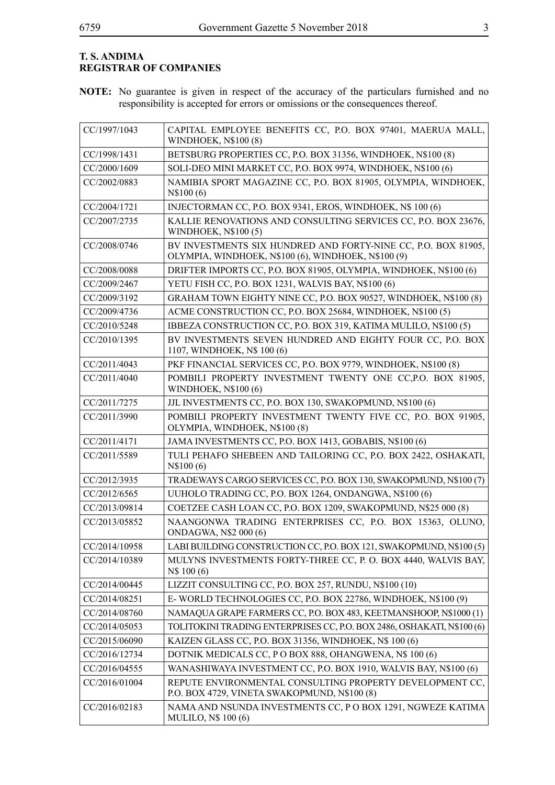# **T. S. ANDIMA REGISTRAR OF COMPANIES**

**NOTE:** No guarantee is given in respect of the accuracy of the particulars furnished and no responsibility is accepted for errors or omissions or the consequences thereof.

| CC/1997/1043  | CAPITAL EMPLOYEE BENEFITS CC, P.O. BOX 97401, MAERUA MALL,<br><b>WINDHOEK, N\$100 (8)</b>                            |
|---------------|----------------------------------------------------------------------------------------------------------------------|
| CC/1998/1431  | BETSBURG PROPERTIES CC, P.O. BOX 31356, WINDHOEK, N\$100 (8)                                                         |
| CC/2000/1609  | SOLI-DEO MINI MARKET CC, P.O. BOX 9974, WINDHOEK, N\$100 (6)                                                         |
| CC/2002/0883  | NAMIBIA SPORT MAGAZINE CC, P.O. BOX 81905, OLYMPIA, WINDHOEK,<br>N\$100 (6)                                          |
| CC/2004/1721  | INJECTORMAN CC, P.O. BOX 9341, EROS, WINDHOEK, N\$ 100 (6)                                                           |
| CC/2007/2735  | KALLIE RENOVATIONS AND CONSULTING SERVICES CC, P.O. BOX 23676,<br><b>WINDHOEK, N\$100 (5)</b>                        |
| CC/2008/0746  | BV INVESTMENTS SIX HUNDRED AND FORTY-NINE CC, P.O. BOX 81905,<br>OLYMPIA, WINDHOEK, N\$100 (6), WINDHOEK, N\$100 (9) |
| CC/2008/0088  | DRIFTER IMPORTS CC, P.O. BOX 81905, OLYMPIA, WINDHOEK, N\$100 (6)                                                    |
| CC/2009/2467  | YETU FISH CC, P.O. BOX 1231, WALVIS BAY, N\$100 (6)                                                                  |
| CC/2009/3192  | GRAHAM TOWN EIGHTY NINE CC, P.O. BOX 90527, WINDHOEK, N\$100 (8)                                                     |
| CC/2009/4736  | ACME CONSTRUCTION CC, P.O. BOX 25684, WINDHOEK, N\$100 (5)                                                           |
| CC/2010/5248  | IBBEZA CONSTRUCTION CC, P.O. BOX 319, KATIMA MULILO, N\$100 (5)                                                      |
| CC/2010/1395  | BV INVESTMENTS SEVEN HUNDRED AND EIGHTY FOUR CC, P.O. BOX<br>1107, WINDHOEK, N\$ 100 (6)                             |
| CC/2011/4043  | PKF FINANCIAL SERVICES CC, P.O. BOX 9779, WINDHOEK, N\$100 (8)                                                       |
| CC/2011/4040  | POMBILI PROPERTY INVESTMENT TWENTY ONE CC, P.O. BOX 81905,<br>WINDHOEK, N\$100 (6)                                   |
| CC/2011/7275  | JJL INVESTMENTS CC, P.O. BOX 130, SWAKOPMUND, N\$100 (6)                                                             |
| CC/2011/3990  | POMBILI PROPERTY INVESTMENT TWENTY FIVE CC, P.O. BOX 91905,<br>OLYMPIA, WINDHOEK, N\$100 (8)                         |
| CC/2011/4171  | JAMA INVESTMENTS CC, P.O. BOX 1413, GOBABIS, N\$100 (6)                                                              |
| CC/2011/5589  | TULI PEHAFO SHEBEEN AND TAILORING CC, P.O. BOX 2422, OSHAKATI,<br>N\$100(6)                                          |
| CC/2012/3935  | TRADEWAYS CARGO SERVICES CC, P.O. BOX 130, SWAKOPMUND, N\$100 (7)                                                    |
| CC/2012/6565  | UUHOLO TRADING CC, P.O. BOX 1264, ONDANGWA, N\$100 (6)                                                               |
| CC/2013/09814 | COETZEE CASH LOAN CC, P.O. BOX 1209, SWAKOPMUND, N\$25 000 (8)                                                       |
| CC/2013/05852 | NAANGONWA TRADING ENTERPRISES CC, P.O. BOX 15363, OLUNO,<br>ONDAGWA, N\$2 000 (6)                                    |
| CC/2014/10958 | LABI BUILDING CONSTRUCTION CC, P.O. BOX 121, SWAKOPMUND, N\$100(5)                                                   |
| CC/2014/10389 | MULYNS INVESTMENTS FORTY-THREE CC, P. O. BOX 4440, WALVIS BAY,<br>N\$ 100 (6)                                        |
| CC/2014/00445 | LIZZIT CONSULTING CC, P.O. BOX 257, RUNDU, N\$100 (10)                                                               |
| CC/2014/08251 | E-WORLD TECHNOLOGIES CC, P.O. BOX 22786, WINDHOEK, N\$100 (9)                                                        |
| CC/2014/08760 | NAMAQUA GRAPE FARMERS CC, P.O. BOX 483, KEETMANSHOOP, N\$1000 (1)                                                    |
| CC/2014/05053 | TOLITOKINI TRADING ENTERPRISES CC, P.O. BOX 2486, OSHAKATI, N\$100 (6)                                               |
| CC/2015/06090 | KAIZEN GLASS CC, P.O. BOX 31356, WINDHOEK, N\$ 100 (6)                                                               |
| CC/2016/12734 | DOTNIK MEDICALS CC, PO BOX 888, OHANGWENA, N\$ 100 (6)                                                               |
| CC/2016/04555 | WANASHIWAYA INVESTMENT CC, P.O. BOX 1910, WALVIS BAY, N\$100 (6)                                                     |
| CC/2016/01004 | REPUTE ENVIRONMENTAL CONSULTING PROPERTY DEVELOPMENT CC,<br>P.O. BOX 4729, VINETA SWAKOPMUND, N\$100 (8)             |
| CC/2016/02183 | NAMA AND NSUNDA INVESTMENTS CC, PO BOX 1291, NGWEZE KATIMA<br><b>MULILO, N\$ 100 (6)</b>                             |